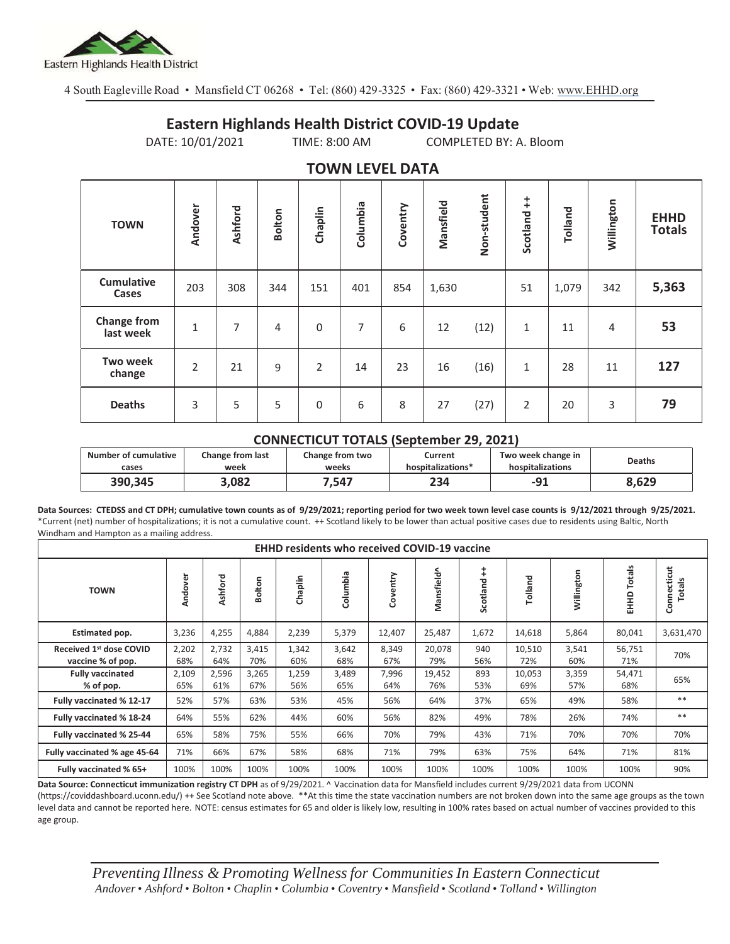

4 South Eagleville Road • Mansfield CT 06268 • Tel: (860) 429-3325 • Fax: (860) 429-3321 • Web: www.EHHD.org

## **Eastern Highlands Health District COVID-19 Update**

DATE: 10/01/2021 TIME: 8:00 AM COMPLETED BY: A. Bloom

| $19.111$ is the set of $17$ |                |         |                |                |          |          |           |             |                        |         |            |                              |
|-----------------------------|----------------|---------|----------------|----------------|----------|----------|-----------|-------------|------------------------|---------|------------|------------------------------|
| <b>TOWN</b>                 | Andover        | Ashford | <b>Bolton</b>  | Chaplin        | Columbia | Coventry | Mansfield | Non-student | $\ddagger$<br>Scotland | Tolland | Willington | <b>EHHD</b><br><b>Totals</b> |
| <b>Cumulative</b><br>Cases  | 203            | 308     | 344            | 151            | 401      | 854      | 1,630     |             | 51                     | 1,079   | 342        | 5,363                        |
| Change from<br>last week    | $\mathbf{1}$   | 7       | $\overline{4}$ | $\mathbf 0$    | 7        | 6        | 12        | (12)        | $1\,$                  | 11      | 4          | 53                           |
| <b>Two week</b><br>change   | $\overline{2}$ | 21      | 9              | $\overline{2}$ | 14       | 23       | 16        | (16)        | $1\,$                  | 28      | 11         | 127                          |
| <b>Deaths</b>               | 3              | 5       | 5              | $\mathbf 0$    | 6        | 8        | 27        | (27)        | $\overline{2}$         | 20      | 3          | 79                           |

## **TOWN LEVEL DATA**

## **CONNECTICUT TOTALS (September 29, 2021)**

| <b>Number of cumulative</b> | <b>Change from last</b> | Change from two | Current           | Two week change in | Deaths |  |
|-----------------------------|-------------------------|-----------------|-------------------|--------------------|--------|--|
| cases                       | week                    | weeks           | hospitalizations* | hospitalizations   |        |  |
| 390,345                     | 3.082                   | .547            | 234               | $-91$              | 8,629  |  |

**Data Sources: CTEDSS and CT DPH; cumulative town counts as of 9/29/2021; reporting period for two week town level case counts is 9/12/2021 through 9/25/2021.** \*Current (net) number of hospitalizations; it is not a cumulative count. ++ Scotland likely to be lower than actual positive cases due to residents using Baltic, North Windham and Hampton as a mailing address.

| <b>EHHD residents who received COVID-19 vaccine</b>      |              |              |              |              |              |              |               |               |               |              |                             |                       |
|----------------------------------------------------------|--------------|--------------|--------------|--------------|--------------|--------------|---------------|---------------|---------------|--------------|-----------------------------|-----------------------|
| <b>TOWN</b>                                              | Andover      | Ashford      | Bolton       | Chaplin      | Columbia     | Coventry     | Mansfield^    | ÷<br>Scotland | Tolland       | Willington   | Totals<br>EHHD <sup>-</sup> | Connecticut<br>Totals |
| Estimated pop.                                           | 3,236        | 4,255        | 4,884        | 2,239        | 5,379        | 12,407       | 25,487        | 1,672         | 14,618        | 5,864        | 80,041                      | 3,631,470             |
| Received 1 <sup>st</sup> dose COVID<br>vaccine % of pop. | 2,202<br>68% | 2,732<br>64% | 3,415<br>70% | 1,342<br>60% | 3,642<br>68% | 8,349<br>67% | 20,078<br>79% | 940<br>56%    | 10,510<br>72% | 3,541<br>60% | 56,751<br>71%               | 70%                   |
| <b>Fully vaccinated</b><br>% of pop.                     | 2,109<br>65% | 2,596<br>61% | 3,265<br>67% | 1,259<br>56% | 3,489<br>65% | 7,996<br>64% | 19,452<br>76% | 893<br>53%    | 10,053<br>69% | 3,359<br>57% | 54,471<br>68%               | 65%                   |
| Fully vaccinated % 12-17                                 | 52%          | 57%          | 63%          | 53%          | 45%          | 56%          | 64%           | 37%           | 65%           | 49%          | 58%                         | $**$                  |
| Fully vaccinated % 18-24                                 | 64%          | 55%          | 62%          | 44%          | 60%          | 56%          | 82%           | 49%           | 78%           | 26%          | 74%                         | $***$                 |
| Fully vaccinated % 25-44                                 | 65%          | 58%          | 75%          | 55%          | 66%          | 70%          | 79%           | 43%           | 71%           | 70%          | 70%                         | 70%                   |
| Fully vaccinated % age 45-64                             | 71%          | 66%          | 67%          | 58%          | 68%          | 71%          | 79%           | 63%           | 75%           | 64%          | 71%                         | 81%                   |
| Fully vaccinated % 65+                                   | 100%         | 100%         | 100%         | 100%         | 100%         | 100%         | 100%          | 100%          | 100%          | 100%         | 100%                        | 90%                   |

**Data Source: Connecticut immunization registry CT DPH** as of 9/29/2021. ^ Vaccination data for Mansfield includes current 9/29/2021 data from UCONN (https://coviddashboard.uconn.edu/) ++ See Scotland note above. \*\*At this time the state vaccination numbers are not broken down into the same age groups as the town

level data and cannot be reported here. NOTE: census estimates for 65 and older is likely low, resulting in 100% rates based on actual number of vaccines provided to this age group.

*Preventing Illness & Promoting Wellness for Communities In Eastern Connecticut* Andover · Ashford · Bolton · Chaplin · Columbia · Coventry · Mansfield · Scotland · Tolland · Willington